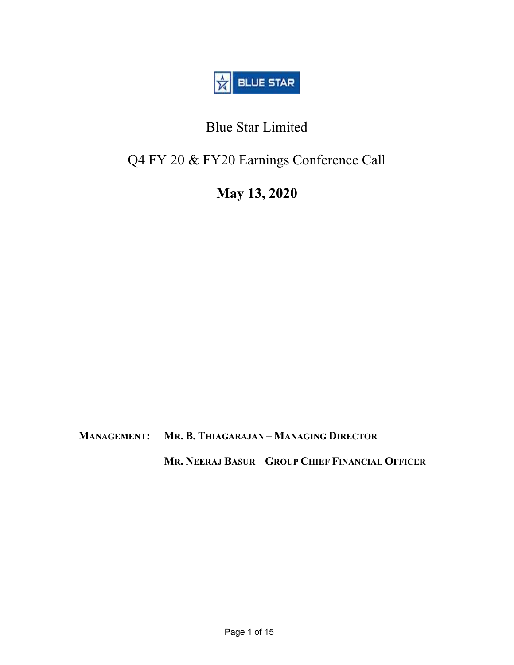

# Blue Star Limited

# Q4 FY 20 & FY20 Earnings Conference Call

# May 13, 2020

MANAGEMENT: MR. B. THIAGARAJAN – MANAGING DIRECTOR

MR. NEERAJ BASUR – GROUP CHIEF FINANCIAL OFFICER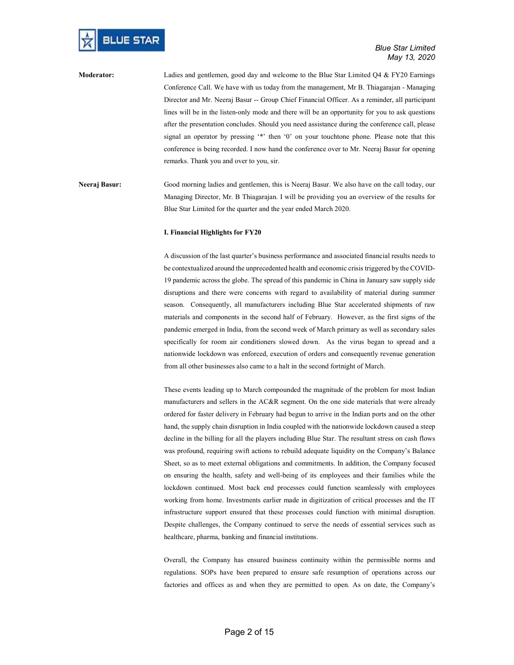

Moderator: Ladies and gentlemen, good day and welcome to the Blue Star Limited Q4 & FY20 Earnings Conference Call. We have with us today from the management, Mr B. Thiagarajan - Managing Director and Mr. Neeraj Basur -- Group Chief Financial Officer. As a reminder, all participant lines will be in the listen-only mode and there will be an opportunity for you to ask questions after the presentation concludes. Should you need assistance during the conference call, please signal an operator by pressing '\*' then '0' on your touchtone phone. Please note that this conference is being recorded. I now hand the conference over to Mr. Neeraj Basur for opening remarks. Thank you and over to you, sir.

Neeraj Basur: Good morning ladies and gentlemen, this is Neeraj Basur. We also have on the call today, our Managing Director, Mr. B Thiagarajan. I will be providing you an overview of the results for Blue Star Limited for the quarter and the year ended March 2020.

#### I. Financial Highlights for FY20

A discussion of the last quarter's business performance and associated financial results needs to be contextualized around the unprecedented health and economic crisis triggered by the COVID-19 pandemic across the globe. The spread of this pandemic in China in January saw supply side disruptions and there were concerns with regard to availability of material during summer season. Consequently, all manufacturers including Blue Star accelerated shipments of raw materials and components in the second half of February. However, as the first signs of the pandemic emerged in India, from the second week of March primary as well as secondary sales specifically for room air conditioners slowed down. As the virus began to spread and a nationwide lockdown was enforced, execution of orders and consequently revenue generation from all other businesses also came to a halt in the second fortnight of March.

These events leading up to March compounded the magnitude of the problem for most Indian manufacturers and sellers in the AC&R segment. On the one side materials that were already ordered for faster delivery in February had begun to arrive in the Indian ports and on the other hand, the supply chain disruption in India coupled with the nationwide lockdown caused a steep decline in the billing for all the players including Blue Star. The resultant stress on cash flows was profound, requiring swift actions to rebuild adequate liquidity on the Company's Balance Sheet, so as to meet external obligations and commitments. In addition, the Company focused on ensuring the health, safety and well-being of its employees and their families while the lockdown continued. Most back end processes could function seamlessly with employees working from home. Investments earlier made in digitization of critical processes and the IT infrastructure support ensured that these processes could function with minimal disruption. Despite challenges, the Company continued to serve the needs of essential services such as healthcare, pharma, banking and financial institutions.

Overall, the Company has ensured business continuity within the permissible norms and regulations. SOPs have been prepared to ensure safe resumption of operations across our factories and offices as and when they are permitted to open. As on date, the Company's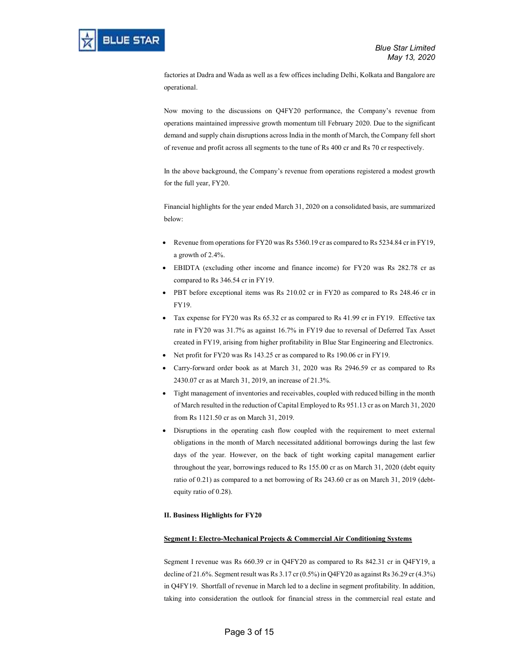factories at Dadra and Wada as well as a few offices including Delhi, Kolkata and Bangalore are operational.

Now moving to the discussions on Q4FY20 performance, the Company's revenue from operations maintained impressive growth momentum till February 2020. Due to the significant demand and supply chain disruptions across India in the month of March, the Company fell short of revenue and profit across all segments to the tune of Rs 400 cr and Rs 70 cr respectively.

In the above background, the Company's revenue from operations registered a modest growth for the full year, FY20.

Financial highlights for the year ended March 31, 2020 on a consolidated basis, are summarized below:

- Revenue from operations for FY20 was Rs 5360.19 cr as compared to Rs 5234.84 cr in FY19, a growth of 2.4%.
- EBIDTA (excluding other income and finance income) for FY20 was Rs 282.78 cr as compared to Rs 346.54 cr in FY19.
- PBT before exceptional items was Rs 210.02 cr in FY20 as compared to Rs 248.46 cr in FY19.
- Tax expense for FY20 was Rs 65.32 cr as compared to Rs 41.99 cr in FY19. Effective tax rate in FY20 was 31.7% as against 16.7% in FY19 due to reversal of Deferred Tax Asset created in FY19, arising from higher profitability in Blue Star Engineering and Electronics.
- Net profit for FY20 was Rs 143.25 cr as compared to Rs 190.06 cr in FY19.
- Carry-forward order book as at March 31, 2020 was Rs 2946.59 cr as compared to Rs 2430.07 cr as at March 31, 2019, an increase of 21.3%.
- Tight management of inventories and receivables, coupled with reduced billing in the month of March resulted in the reduction of Capital Employed to Rs 951.13 cr as on March 31, 2020 from Rs 1121.50 cr as on March 31, 2019.
- Disruptions in the operating cash flow coupled with the requirement to meet external obligations in the month of March necessitated additional borrowings during the last few days of the year. However, on the back of tight working capital management earlier throughout the year, borrowings reduced to Rs 155.00 cr as on March 31, 2020 (debt equity ratio of 0.21) as compared to a net borrowing of Rs 243.60 cr as on March 31, 2019 (debtequity ratio of 0.28).

# II. Business Highlights for FY20

# Segment I: Electro-Mechanical Projects & Commercial Air Conditioning Systems

Segment I revenue was Rs 660.39 cr in Q4FY20 as compared to Rs 842.31 cr in Q4FY19, a decline of 21.6%. Segment result was Rs 3.17 cr (0.5%) in Q4FY20 as against Rs 36.29 cr (4.3%) in Q4FY19. Shortfall of revenue in March led to a decline in segment profitability. In addition, taking into consideration the outlook for financial stress in the commercial real estate and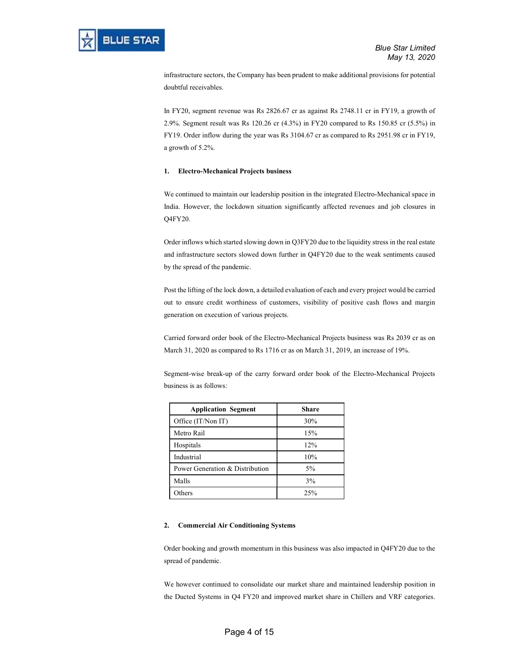infrastructure sectors, the Company has been prudent to make additional provisions for potential doubtful receivables.

In FY20, segment revenue was Rs 2826.67 cr as against Rs 2748.11 cr in FY19, a growth of 2.9%. Segment result was Rs 120.26 cr (4.3%) in FY20 compared to Rs 150.85 cr (5.5%) in FY19. Order inflow during the year was Rs 3104.67 cr as compared to Rs 2951.98 cr in FY19, a growth of 5.2%.

# 1. Electro-Mechanical Projects business

We continued to maintain our leadership position in the integrated Electro-Mechanical space in India. However, the lockdown situation significantly affected revenues and job closures in Q4FY20.

Order inflows which started slowing down in Q3FY20 due to the liquidity stress in the real estate and infrastructure sectors slowed down further in Q4FY20 due to the weak sentiments caused by the spread of the pandemic.

Post the lifting of the lock down, a detailed evaluation of each and every project would be carried out to ensure credit worthiness of customers, visibility of positive cash flows and margin generation on execution of various projects.

Carried forward order book of the Electro-Mechanical Projects business was Rs 2039 cr as on March 31, 2020 as compared to Rs 1716 cr as on March 31, 2019, an increase of 19%.

Segment-wise break-up of the carry forward order book of the Electro-Mechanical Projects business is as follows:

| <b>Application Segment</b>      | Share |
|---------------------------------|-------|
| Office (IT/Non IT)              | 30%   |
| Metro Rail                      | 15%   |
| Hospitals                       | 12%   |
| Industrial                      | 10%   |
| Power Generation & Distribution | $5\%$ |
| Malls                           | 3%    |
| Others                          | 25%   |

# 2. Commercial Air Conditioning Systems

Order booking and growth momentum in this business was also impacted in Q4FY20 due to the spread of pandemic.

We however continued to consolidate our market share and maintained leadership position in the Ducted Systems in Q4 FY20 and improved market share in Chillers and VRF categories.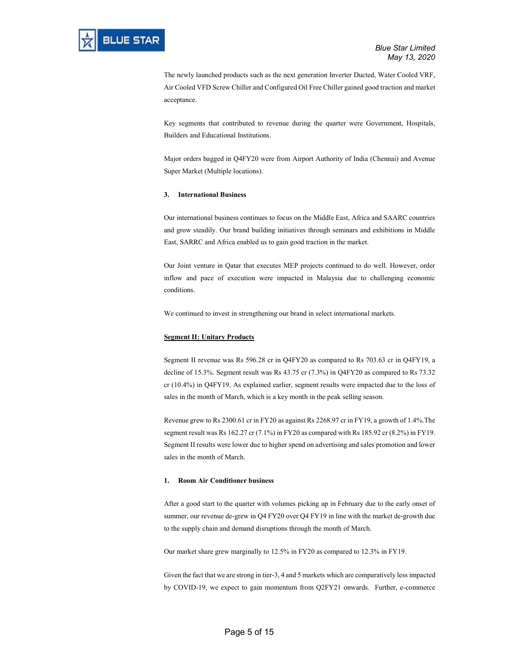The newly launched products such as the next generation Inverter Ducted, Water Cooled VRF, Air Cooled VFD Screw Chiller and Configured Oil Free Chiller gained good traction and market acceptance.

Key segments that contributed to revenue during the quarter were Government, Hospitals, Builders and Educational Institutions.

Major orders bagged in Q4FY20 were from Airport Authority of India (Chennai) and Avenue Super Market (Multiple locations).

#### 3. International Business

Our international business continues to focus on the Middle East, Africa and SAARC countries and grow steadily. Our brand building initiatives through seminars and exhibitions in Middle East, SARRC and Africa enabled us to gain good traction in the market.

Our Joint venture in Qatar that executes MEP projects continued to do well. However, order inflow and pace of execution were impacted in Malaysia due to challenging economic conditions.

We continued to invest in strengthening our brand in select international markets.

# Segment II: Unitary Products

Segment II revenue was Rs 596.28 cr in Q4FY20 as compared to Rs 703.63 cr in Q4FY19, a decline of 15.3%. Segment result was Rs 43.75 cr (7.3%) in Q4FY20 as compared to Rs 73.32 cr (10.4%) in Q4FY19. As explained earlier, segment results were impacted due to the loss of sales in the month of March, which is a key month in the peak selling season.

Revenue grew to Rs 2300.61 cr in FY20 as against Rs 2268.97 cr in FY19, a growth of 1.4%.The segment result was Rs 162.27 cr (7.1%) in FY20 as compared with Rs 185.92 cr (8.2%) in FY19. Segment II results were lower due to higher spend on advertising and sales promotion and lower sales in the month of March.

#### 1. Room Air Conditioner business

After a good start to the quarter with volumes picking up in February due to the early onset of summer, our revenue de-grew in Q4 FY20 over Q4 FY19 in line with the market de-growth due to the supply chain and demand disruptions through the month of March.

Our market share grew marginally to 12.5% in FY20 as compared to 12.3% in FY19.

Given the fact that we are strong in tier-3, 4 and 5 markets which are comparatively less impacted by COVID-19, we expect to gain momentum from Q2FY21 onwards. Further, e-commerce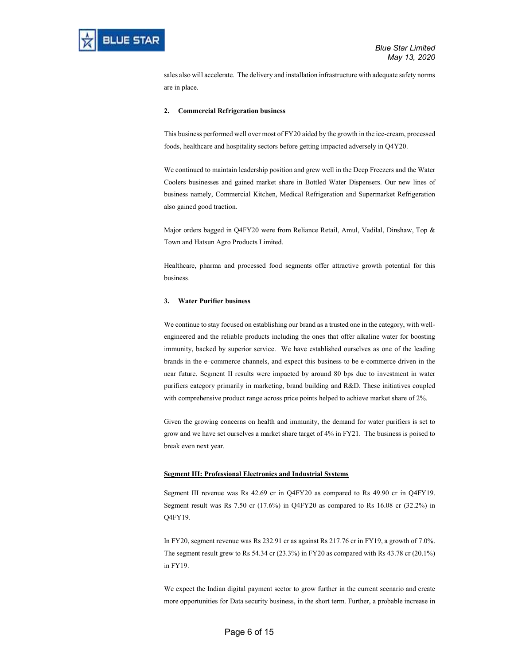sales also will accelerate. The delivery and installation infrastructure with adequate safety norms are in place.

### 2. Commercial Refrigeration business

This business performed well over most of FY20 aided by the growth in the ice-cream, processed foods, healthcare and hospitality sectors before getting impacted adversely in Q4Y20.

We continued to maintain leadership position and grew well in the Deep Freezers and the Water Coolers businesses and gained market share in Bottled Water Dispensers. Our new lines of business namely, Commercial Kitchen, Medical Refrigeration and Supermarket Refrigeration also gained good traction.

Major orders bagged in Q4FY20 were from Reliance Retail, Amul, Vadilal, Dinshaw, Top & Town and Hatsun Agro Products Limited.

Healthcare, pharma and processed food segments offer attractive growth potential for this business.

### 3. Water Purifier business

We continue to stay focused on establishing our brand as a trusted one in the category, with wellengineered and the reliable products including the ones that offer alkaline water for boosting immunity, backed by superior service. We have established ourselves as one of the leading brands in the e–commerce channels, and expect this business to be e-commerce driven in the near future. Segment II results were impacted by around 80 bps due to investment in water purifiers category primarily in marketing, brand building and R&D. These initiatives coupled with comprehensive product range across price points helped to achieve market share of 2%.

Given the growing concerns on health and immunity, the demand for water purifiers is set to grow and we have set ourselves a market share target of 4% in FY21. The business is poised to break even next year.

#### Segment III: Professional Electronics and Industrial Systems

Segment III revenue was Rs 42.69 cr in Q4FY20 as compared to Rs 49.90 cr in Q4FY19. Segment result was Rs 7.50 cr (17.6%) in Q4FY20 as compared to Rs 16.08 cr (32.2%) in Q4FY19.

In FY20, segment revenue was Rs 232.91 cr as against Rs 217.76 cr in FY19, a growth of 7.0%. The segment result grew to Rs 54.34 cr (23.3%) in FY20 as compared with Rs 43.78 cr (20.1%) in FY19.

We expect the Indian digital payment sector to grow further in the current scenario and create more opportunities for Data security business, in the short term. Further, a probable increase in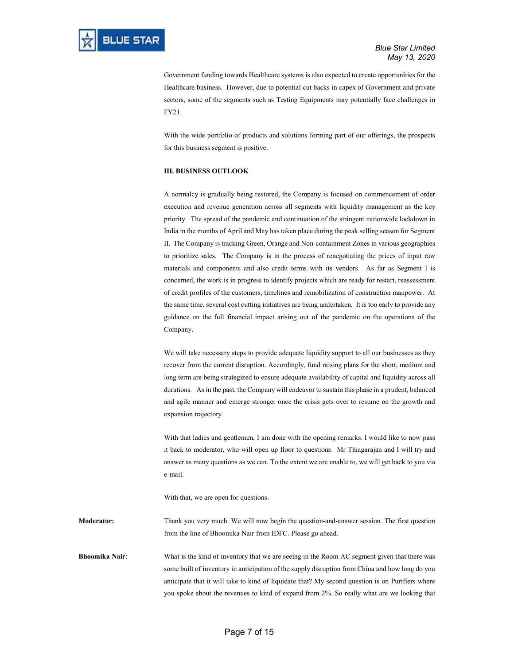Government funding towards Healthcare systems is also expected to create opportunities for the Healthcare business. However, due to potential cut backs in capex of Government and private sectors, some of the segments such as Testing Equipments may potentially face challenges in FY21.

With the wide portfolio of products and solutions forming part of our offerings, the prospects for this business segment is positive.

# III. BUSINESS OUTLOOK

A normalcy is gradually being restored, the Company is focused on commencement of order execution and revenue generation across all segments with liquidity management as the key priority. The spread of the pandemic and continuation of the stringent nationwide lockdown in India in the months of April and May has taken place during the peak selling season for Segment II. The Company is tracking Green, Orange and Non-containment Zones in various geographies to prioritize sales. The Company is in the process of renegotiating the prices of input raw materials and components and also credit terms with its vendors. As far as Segment I is concerned, the work is in progress to identify projects which are ready for restart, reassessment of credit profiles of the customers, timelines and remobilization of construction manpower. At the same time, several cost cutting initiatives are being undertaken. It is too early to provide any guidance on the full financial impact arising out of the pandemic on the operations of the Company.

We will take necessary steps to provide adequate liquidity support to all our businesses as they recover from the current disruption. Accordingly, fund raising plans for the short, medium and long term are being strategized to ensure adequate availability of capital and liquidity across all durations. As in the past, the Company will endeavor to sustain this phase in a prudent, balanced and agile manner and emerge stronger once the crisis gets over to resume on the growth and expansion trajectory.

With that ladies and gentlemen, I am done with the opening remarks. I would like to now pass it back to moderator, who will open up floor to questions. Mr Thiagarajan and I will try and answer as many questions as we can. To the extent we are unable to, we will get back to you via e-mail.

With that, we are open for questions.

Moderator: Thank you very much. We will now begin the question-and-answer session. The first question from the line of Bhoomika Nair from IDFC. Please go ahead.

Bhoomika Nair: What is the kind of inventory that we are seeing in the Room AC segment given that there was some built of inventory in anticipation of the supply disruption from China and how long do you anticipate that it will take to kind of liquidate that? My second question is on Purifiers where you spoke about the revenues to kind of expand from 2%. So really what are we looking that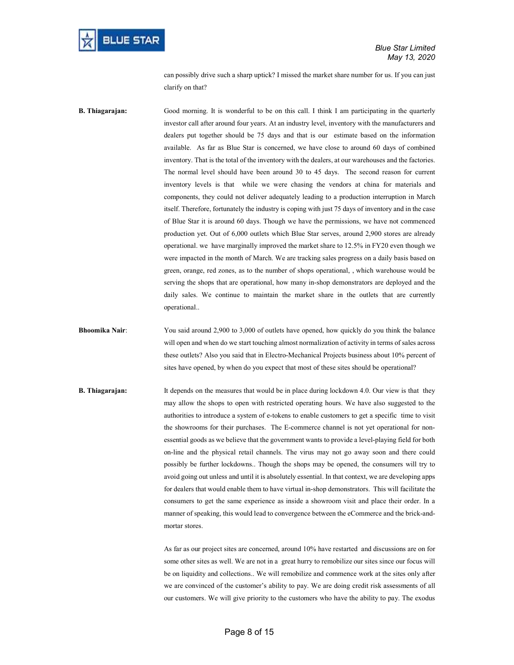

can possibly drive such a sharp uptick? I missed the market share number for us. If you can just clarify on that?

B. Thiagarajan: Good morning. It is wonderful to be on this call. I think I am participating in the quarterly investor call after around four years. At an industry level, inventory with the manufacturers and dealers put together should be 75 days and that is our estimate based on the information available. As far as Blue Star is concerned, we have close to around 60 days of combined inventory. That is the total of the inventory with the dealers, at our warehouses and the factories. The normal level should have been around 30 to 45 days. The second reason for current inventory levels is that while we were chasing the vendors at china for materials and components, they could not deliver adequately leading to a production interruption in March itself. Therefore, fortunately the industry is coping with just 75 days of inventory and in the case of Blue Star it is around 60 days. Though we have the permissions, we have not commenced production yet. Out of 6,000 outlets which Blue Star serves, around 2,900 stores are already operational. we have marginally improved the market share to 12.5% in FY20 even though we were impacted in the month of March. We are tracking sales progress on a daily basis based on green, orange, red zones, as to the number of shops operational, , which warehouse would be serving the shops that are operational, how many in-shop demonstrators are deployed and the daily sales. We continue to maintain the market share in the outlets that are currently operational..

Bhoomika Nair: You said around 2,900 to 3,000 of outlets have opened, how quickly do you think the balance will open and when do we start touching almost normalization of activity in terms of sales across these outlets? Also you said that in Electro-Mechanical Projects business about 10% percent of sites have opened, by when do you expect that most of these sites should be operational?

**B. Thiagarajan:** It depends on the measures that would be in place during lockdown 4.0. Our view is that they may allow the shops to open with restricted operating hours. We have also suggested to the authorities to introduce a system of e-tokens to enable customers to get a specific time to visit the showrooms for their purchases. The E-commerce channel is not yet operational for nonessential goods as we believe that the government wants to provide a level-playing field for both on-line and the physical retail channels. The virus may not go away soon and there could possibly be further lockdowns.. Though the shops may be opened, the consumers will try to avoid going out unless and until it is absolutely essential. In that context, we are developing apps for dealers that would enable them to have virtual in-shop demonstrators. This will facilitate the consumers to get the same experience as inside a showroom visit and place their order. In a manner of speaking, this would lead to convergence between the eCommerce and the brick-andmortar stores.

> As far as our project sites are concerned, around 10% have restarted and discussions are on for some other sites as well. We are not in a great hurry to remobilize our sites since our focus will be on liquidity and collections.. We will remobilize and commence work at the sites only after we are convinced of the customer's ability to pay. We are doing credit risk assessments of all our customers. We will give priority to the customers who have the ability to pay. The exodus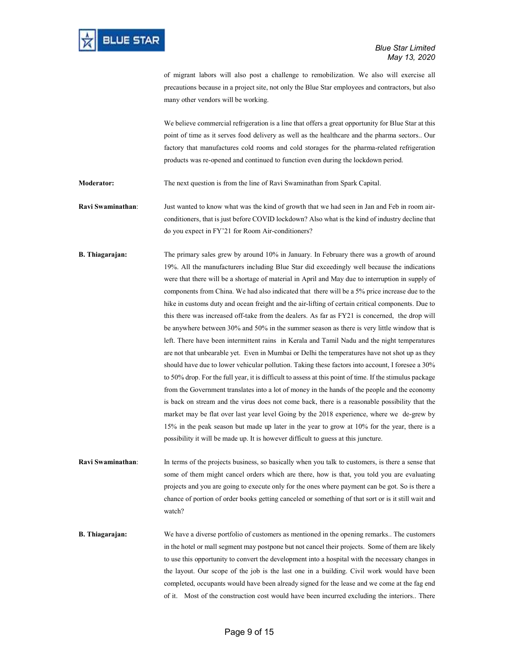of migrant labors will also post a challenge to remobilization. We also will exercise all precautions because in a project site, not only the Blue Star employees and contractors, but also many other vendors will be working.

We believe commercial refrigeration is a line that offers a great opportunity for Blue Star at this point of time as it serves food delivery as well as the healthcare and the pharma sectors.. Our factory that manufactures cold rooms and cold storages for the pharma-related refrigeration products was re-opened and continued to function even during the lockdown period.

Moderator: The next question is from the line of Ravi Swaminathan from Spark Capital.

Ravi Swaminathan: Just wanted to know what was the kind of growth that we had seen in Jan and Feb in room airconditioners, that is just before COVID lockdown? Also what is the kind of industry decline that do you expect in FY'21 for Room Air-conditioners?

B. Thiagarajan: The primary sales grew by around 10% in January. In February there was a growth of around 19%. All the manufacturers including Blue Star did exceedingly well because the indications were that there will be a shortage of material in April and May due to interruption in supply of components from China. We had also indicated that there will be a 5% price increase due to the hike in customs duty and ocean freight and the air-lifting of certain critical components. Due to this there was increased off-take from the dealers. As far as FY21 is concerned, the drop will be anywhere between 30% and 50% in the summer season as there is very little window that is left. There have been intermittent rains in Kerala and Tamil Nadu and the night temperatures are not that unbearable yet. Even in Mumbai or Delhi the temperatures have not shot up as they should have due to lower vehicular pollution. Taking these factors into account, I foresee a 30% to 50% drop. For the full year, it is difficult to assess at this point of time. If the stimulus package from the Government translates into a lot of money in the hands of the people and the economy is back on stream and the virus does not come back, there is a reasonable possibility that the market may be flat over last year level Going by the 2018 experience, where we de-grew by 15% in the peak season but made up later in the year to grow at 10% for the year, there is a possibility it will be made up. It is however difficult to guess at this juncture.

Ravi Swaminathan: In terms of the projects business, so basically when you talk to customers, is there a sense that some of them might cancel orders which are there, how is that, you told you are evaluating projects and you are going to execute only for the ones where payment can be got. So is there a chance of portion of order books getting canceled or something of that sort or is it still wait and watch?

**B. Thiagarajan:** We have a diverse portfolio of customers as mentioned in the opening remarks.. The customers in the hotel or mall segment may postpone but not cancel their projects. Some of them are likely to use this opportunity to convert the development into a hospital with the necessary changes in the layout. Our scope of the job is the last one in a building. Civil work would have been completed, occupants would have been already signed for the lease and we come at the fag end of it. Most of the construction cost would have been incurred excluding the interiors.. There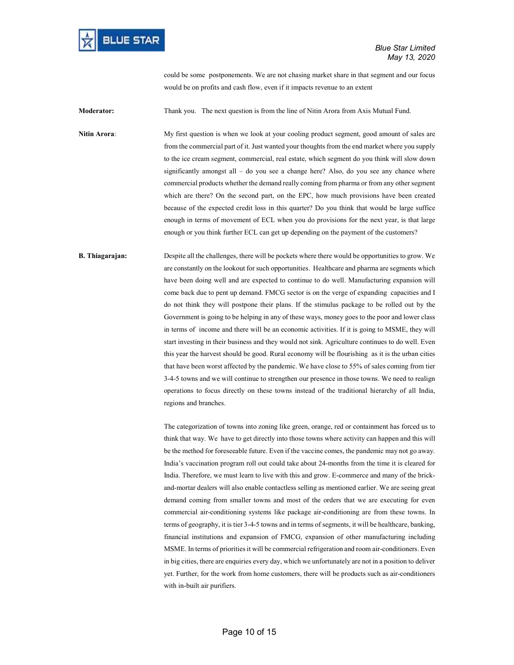

could be some postponements. We are not chasing market share in that segment and our focus would be on profits and cash flow, even if it impacts revenue to an extent

Moderator: Thank you. The next question is from the line of Nitin Arora from Axis Mutual Fund.

Nitin Arora: My first question is when we look at your cooling product segment, good amount of sales are from the commercial part of it. Just wanted your thoughts from the end market where you supply to the ice cream segment, commercial, real estate, which segment do you think will slow down significantly amongst all  $-$  do you see a change here? Also, do you see any chance where commercial products whether the demand really coming from pharma or from any other segment which are there? On the second part, on the EPC, how much provisions have been created because of the expected credit loss in this quarter? Do you think that would be large suffice enough in terms of movement of ECL when you do provisions for the next year, is that large enough or you think further ECL can get up depending on the payment of the customers?

B. Thiagarajan: Despite all the challenges, there will be pockets where there would be opportunities to grow. We are constantly on the lookout for such opportunities. Healthcare and pharma are segments which have been doing well and are expected to continue to do well. Manufacturing expansion will come back due to pent up demand. FMCG sector is on the verge of expanding capacities and I do not think they will postpone their plans. If the stimulus package to be rolled out by the Government is going to be helping in any of these ways, money goes to the poor and lower class in terms of income and there will be an economic activities. If it is going to MSME, they will start investing in their business and they would not sink. Agriculture continues to do well. Even this year the harvest should be good. Rural economy will be flourishing as it is the urban cities that have been worst affected by the pandemic. We have close to 55% of sales coming from tier 3-4-5 towns and we will continue to strengthen our presence in those towns. We need to realign operations to focus directly on these towns instead of the traditional hierarchy of all India, regions and branches.

> The categorization of towns into zoning like green, orange, red or containment has forced us to think that way. We have to get directly into those towns where activity can happen and this will be the method for foreseeable future. Even if the vaccine comes, the pandemic may not go away. India's vaccination program roll out could take about 24-months from the time it is cleared for India. Therefore, we must learn to live with this and grow. E-commerce and many of the brickand-mortar dealers will also enable contactless selling as mentioned earlier. We are seeing great demand coming from smaller towns and most of the orders that we are executing for even commercial air-conditioning systems like package air-conditioning are from these towns. In terms of geography, it is tier 3-4-5 towns and in terms of segments, it will be healthcare, banking, financial institutions and expansion of FMCG, expansion of other manufacturing including MSME. In terms of priorities it will be commercial refrigeration and room air-conditioners. Even in big cities, there are enquiries every day, which we unfortunately are not in a position to deliver yet. Further, for the work from home customers, there will be products such as air-conditioners with in-built air purifiers.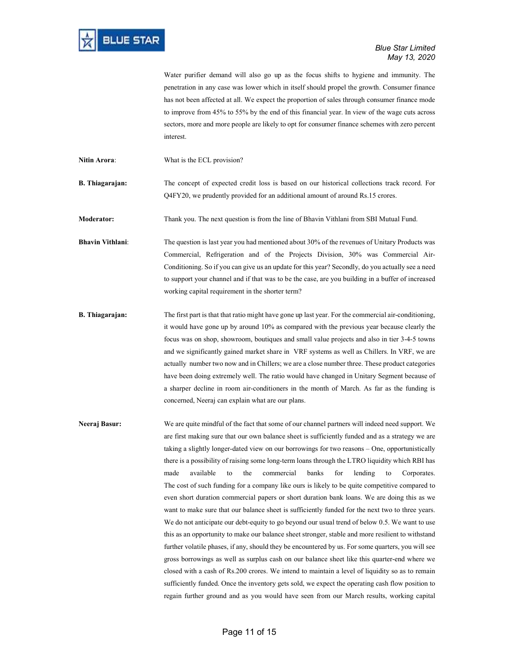|                         | Water purifier demand will also go up as the focus shifts to hygiene and immunity. The<br>penetration in any case was lower which in itself should propel the growth. Consumer finance<br>has not been affected at all. We expect the proportion of sales through consumer finance mode<br>to improve from 45% to 55% by the end of this financial year. In view of the wage cuts across<br>sectors, more and more people are likely to opt for consumer finance schemes with zero percent<br>interest.                                                                                                                                                                                                                                                                                                                                                                                                                                                                                                              |
|-------------------------|----------------------------------------------------------------------------------------------------------------------------------------------------------------------------------------------------------------------------------------------------------------------------------------------------------------------------------------------------------------------------------------------------------------------------------------------------------------------------------------------------------------------------------------------------------------------------------------------------------------------------------------------------------------------------------------------------------------------------------------------------------------------------------------------------------------------------------------------------------------------------------------------------------------------------------------------------------------------------------------------------------------------|
| Nitin Arora:            | What is the ECL provision?                                                                                                                                                                                                                                                                                                                                                                                                                                                                                                                                                                                                                                                                                                                                                                                                                                                                                                                                                                                           |
| <b>B.</b> Thiagarajan:  | The concept of expected credit loss is based on our historical collections track record. For<br>Q4FY20, we prudently provided for an additional amount of around Rs.15 crores.                                                                                                                                                                                                                                                                                                                                                                                                                                                                                                                                                                                                                                                                                                                                                                                                                                       |
| Moderator:              | Thank you. The next question is from the line of Bhavin Vithlani from SBI Mutual Fund.                                                                                                                                                                                                                                                                                                                                                                                                                                                                                                                                                                                                                                                                                                                                                                                                                                                                                                                               |
| <b>Bhavin Vithlani:</b> | The question is last year you had mentioned about 30% of the revenues of Unitary Products was<br>Commercial, Refrigeration and of the Projects Division, 30% was Commercial Air-<br>Conditioning. So if you can give us an update for this year? Secondly, do you actually see a need<br>to support your channel and if that was to be the case, are you building in a buffer of increased<br>working capital requirement in the shorter term?                                                                                                                                                                                                                                                                                                                                                                                                                                                                                                                                                                       |
| <b>B.</b> Thiagarajan:  | The first part is that that ratio might have gone up last year. For the commercial air-conditioning,<br>it would have gone up by around 10% as compared with the previous year because clearly the<br>focus was on shop, showroom, boutiques and small value projects and also in tier 3-4-5 towns<br>and we significantly gained market share in VRF systems as well as Chillers. In VRF, we are<br>actually number two now and in Chillers; we are a close number three. These product categories<br>have been doing extremely well. The ratio would have changed in Unitary Segment because of<br>a sharper decline in room air-conditioners in the month of March. As far as the funding is<br>concerned, Neeraj can explain what are our plans.                                                                                                                                                                                                                                                                 |
| Neeraj Basur:           | We are quite mindful of the fact that some of our channel partners will indeed need support. We<br>are first making sure that our own balance sheet is sufficiently funded and as a strategy we are<br>taking a slightly longer-dated view on our borrowings for two reasons - One, opportunistically<br>there is a possibility of raising some long-term loans through the LTRO liquidity which RBI has<br>available<br>commercial<br>banks<br>the<br>for<br>lending<br>made<br>to<br>to<br>Corporates.<br>The cost of such funding for a company like ours is likely to be quite competitive compared to<br>even short duration commercial papers or short duration bank loans. We are doing this as we<br>want to make sure that our balance sheet is sufficiently funded for the next two to three years.<br>We do not anticipate our debt-equity to go beyond our usual trend of below 0.5. We want to use<br>this as an opportunity to make our balance sheet stronger, stable and more resilient to withstand |

further volatile phases, if any, should they be encountered by us. For some quarters, you will see gross borrowings as well as surplus cash on our balance sheet like this quarter-end where we closed with a cash of Rs.200 crores. We intend to maintain a level of liquidity so as to remain sufficiently funded. Once the inventory gets sold, we expect the operating cash flow position to regain further ground and as you would have seen from our March results, working capital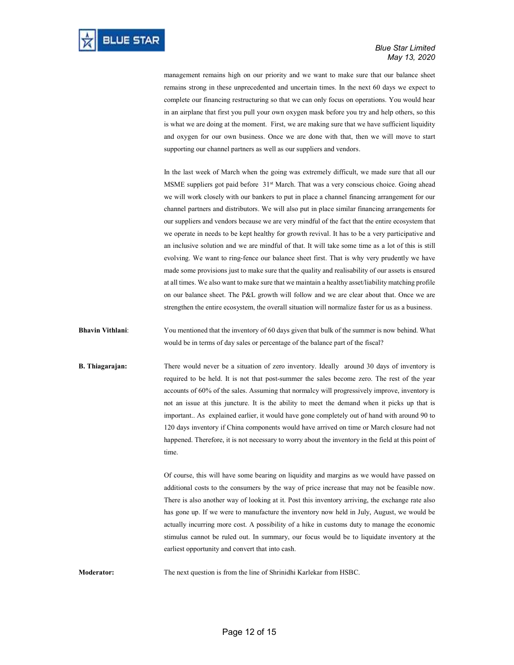management remains high on our priority and we want to make sure that our balance sheet remains strong in these unprecedented and uncertain times. In the next 60 days we expect to complete our financing restructuring so that we can only focus on operations. You would hear in an airplane that first you pull your own oxygen mask before you try and help others, so this is what we are doing at the moment. First, we are making sure that we have sufficient liquidity and oxygen for our own business. Once we are done with that, then we will move to start supporting our channel partners as well as our suppliers and vendors.

In the last week of March when the going was extremely difficult, we made sure that all our MSME suppliers got paid before 31st March. That was a very conscious choice. Going ahead we will work closely with our bankers to put in place a channel financing arrangement for our channel partners and distributors. We will also put in place similar financing arrangements for our suppliers and vendors because we are very mindful of the fact that the entire ecosystem that we operate in needs to be kept healthy for growth revival. It has to be a very participative and an inclusive solution and we are mindful of that. It will take some time as a lot of this is still evolving. We want to ring-fence our balance sheet first. That is why very prudently we have made some provisions just to make sure that the quality and realisability of our assets is ensured at all times. We also want to make sure that we maintain a healthy asset/liability matching profile on our balance sheet. The P&L growth will follow and we are clear about that. Once we are strengthen the entire ecosystem, the overall situation will normalize faster for us as a business.

Bhavin Vithlani: You mentioned that the inventory of 60 days given that bulk of the summer is now behind. What would be in terms of day sales or percentage of the balance part of the fiscal?

**B. Thiagarajan:** There would never be a situation of zero inventory. Ideally around 30 days of inventory is required to be held. It is not that post-summer the sales become zero. The rest of the year accounts of 60% of the sales. Assuming that normalcy will progressively improve, inventory is not an issue at this juncture. It is the ability to meet the demand when it picks up that is important.. As explained earlier, it would have gone completely out of hand with around 90 to 120 days inventory if China components would have arrived on time or March closure had not happened. Therefore, it is not necessary to worry about the inventory in the field at this point of time.

> Of course, this will have some bearing on liquidity and margins as we would have passed on additional costs to the consumers by the way of price increase that may not be feasible now. There is also another way of looking at it. Post this inventory arriving, the exchange rate also has gone up. If we were to manufacture the inventory now held in July, August, we would be actually incurring more cost. A possibility of a hike in customs duty to manage the economic stimulus cannot be ruled out. In summary, our focus would be to liquidate inventory at the earliest opportunity and convert that into cash.

Moderator: The next question is from the line of Shrinidhi Karlekar from HSBC.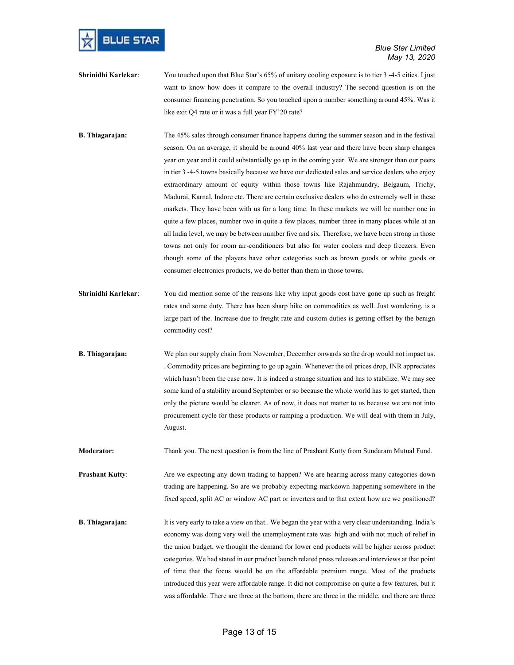

- Shrinidhi Karlekar: You touched upon that Blue Star's 65% of unitary cooling exposure is to tier 3-4-5 cities. I just want to know how does it compare to the overall industry? The second question is on the consumer financing penetration. So you touched upon a number something around 45%. Was it like exit Q4 rate or it was a full year FY'20 rate?
- B. Thiagarajan: The 45% sales through consumer finance happens during the summer season and in the festival season. On an average, it should be around 40% last year and there have been sharp changes year on year and it could substantially go up in the coming year. We are stronger than our peers in tier 3 -4-5 towns basically because we have our dedicated sales and service dealers who enjoy extraordinary amount of equity within those towns like Rajahmundry, Belgaum, Trichy, Madurai, Karnal, Indore etc. There are certain exclusive dealers who do extremely well in these markets. They have been with us for a long time. In these markets we will be number one in quite a few places, number two in quite a few places, number three in many places while at an all India level, we may be between number five and six. Therefore, we have been strong in those towns not only for room air-conditioners but also for water coolers and deep freezers. Even though some of the players have other categories such as brown goods or white goods or consumer electronics products, we do better than them in those towns.
- Shrinidhi Karlekar: You did mention some of the reasons like why input goods cost have gone up such as freight rates and some duty. There has been sharp hike on commodities as well. Just wondering, is a large part of the. Increase due to freight rate and custom duties is getting offset by the benign commodity cost?
- B. Thiagarajan: We plan our supply chain from November, December onwards so the drop would not impact us. . Commodity prices are beginning to go up again. Whenever the oil prices drop, INR appreciates which hasn't been the case now. It is indeed a strange situation and has to stabilize. We may see some kind of a stability around September or so because the whole world has to get started, then only the picture would be clearer. As of now, it does not matter to us because we are not into procurement cycle for these products or ramping a production. We will deal with them in July, August.

Moderator: Thank you. The next question is from the line of Prashant Kutty from Sundaram Mutual Fund.

**Prashant Kutty:** Are we expecting any down trading to happen? We are hearing across many categories down trading are happening. So are we probably expecting markdown happening somewhere in the fixed speed, split AC or window AC part or inverters and to that extent how are we positioned?

B. Thiagarajan: It is very early to take a view on that.. We began the year with a very clear understanding. India's economy was doing very well the unemployment rate was high and with not much of relief in the union budget, we thought the demand for lower end products will be higher across product categories. We had stated in our product launch related press releases and interviews at that point of time that the focus would be on the affordable premium range. Most of the products introduced this year were affordable range. It did not compromise on quite a few features, but it was affordable. There are three at the bottom, there are three in the middle, and there are three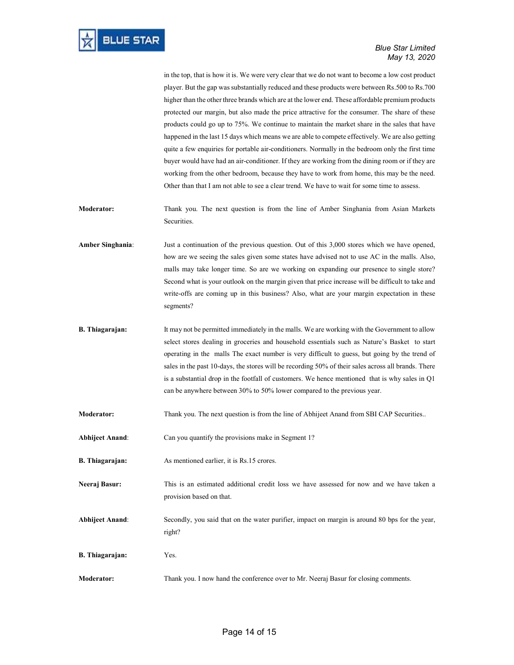in the top, that is how it is. We were very clear that we do not want to become a low cost product player. But the gap was substantially reduced and these products were between Rs.500 to Rs.700 higher than the other three brands which are at the lower end. These affordable premium products protected our margin, but also made the price attractive for the consumer. The share of these products could go up to 75%. We continue to maintain the market share in the sales that have happened in the last 15 days which means we are able to compete effectively. We are also getting quite a few enquiries for portable air-conditioners. Normally in the bedroom only the first time buyer would have had an air-conditioner. If they are working from the dining room or if they are working from the other bedroom, because they have to work from home, this may be the need. Other than that I am not able to see a clear trend. We have to wait for some time to assess.

- Moderator: Thank you. The next question is from the line of Amber Singhania from Asian Markets Securities.
- Amber Singhania: Just a continuation of the previous question. Out of this 3,000 stores which we have opened, how are we seeing the sales given some states have advised not to use AC in the malls. Also, malls may take longer time. So are we working on expanding our presence to single store? Second what is your outlook on the margin given that price increase will be difficult to take and write-offs are coming up in this business? Also, what are your margin expectation in these segments?
- B. Thiagarajan: It may not be permitted immediately in the malls. We are working with the Government to allow select stores dealing in groceries and household essentials such as Nature's Basket to start operating in the malls The exact number is very difficult to guess, but going by the trend of sales in the past 10-days, the stores will be recording 50% of their sales across all brands. There is a substantial drop in the footfall of customers. We hence mentioned that is why sales in Q1 can be anywhere between 30% to 50% lower compared to the previous year.
- Moderator: Thank you. The next question is from the line of Abhijeet Anand from SBI CAP Securities..
- Abhijeet Anand: Can you quantify the provisions make in Segment 1?
- B. Thiagarajan: As mentioned earlier, it is Rs.15 crores.
- Neeraj Basur: This is an estimated additional credit loss we have assessed for now and we have taken a provision based on that.
- Abhijeet Anand: Secondly, you said that on the water purifier, impact on margin is around 80 bps for the year, right?
- B. Thiagarajan: Yes.
- Moderator: Thank you. I now hand the conference over to Mr. Neeraj Basur for closing comments.